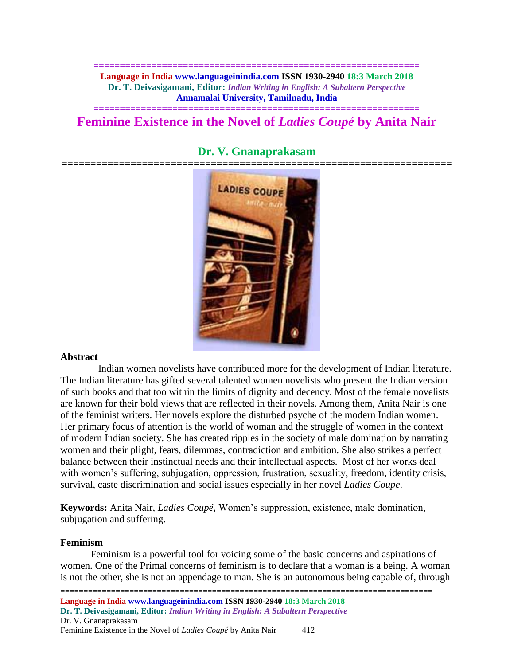**============================================================== Language in India www.languageinindia.com ISSN 1930-2940 18:3 March 2018 Dr. T. Deivasigamani, Editor:** *Indian Writing in English: A Subaltern Perspective* **Annamalai University, Tamilnadu, India**

## **============================================================== Feminine Existence in the Novel of** *Ladies Coupé* **by Anita Nair**



# **Dr. V. Gnanaprakasam**

## **Abstract**

 Indian women novelists have contributed more for the development of Indian literature. The Indian literature has gifted several talented women novelists who present the Indian version of such books and that too within the limits of dignity and decency. Most of the female novelists are known for their bold views that are reflected in their novels. Among them, Anita Nair is one of the feminist writers. Her novels explore the disturbed psyche of the modern Indian women. Her primary focus of attention is the world of woman and the struggle of women in the context of modern Indian society. She has created ripples in the society of male domination by narrating women and their plight, fears, dilemmas, contradiction and ambition. She also strikes a perfect balance between their instinctual needs and their intellectual aspects. Most of her works deal with women's suffering, subjugation, oppression, frustration, sexuality, freedom, identity crisis, survival, caste discrimination and social issues especially in her novel *Ladies Coupe*.

**Keywords:** Anita Nair, *Ladies Coupé,* Women's suppression, existence, male domination, subjugation and suffering.

## **Feminism**

Feminism is a powerful tool for voicing some of the basic concerns and aspirations of women. One of the Primal concerns of feminism is to declare that a woman is a being. A woman is not the other, she is not an appendage to man. She is an autonomous being capable of, through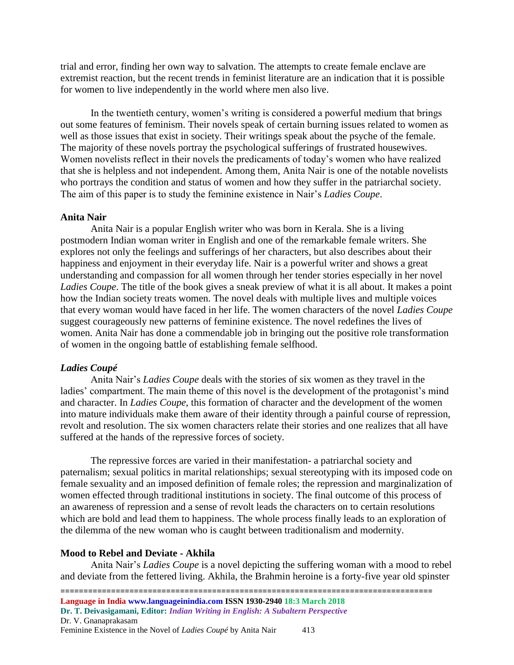trial and error, finding her own way to salvation. The attempts to create female enclave are extremist reaction, but the recent trends in feminist literature are an indication that it is possible for women to live independently in the world where men also live.

In the twentieth century, women's writing is considered a powerful medium that brings out some features of feminism. Their novels speak of certain burning issues related to women as well as those issues that exist in society. Their writings speak about the psyche of the female. The majority of these novels portray the psychological sufferings of frustrated housewives. Women novelists reflect in their novels the predicaments of today's women who have realized that she is helpless and not independent. Among them, Anita Nair is one of the notable novelists who portrays the condition and status of women and how they suffer in the patriarchal society. The aim of this paper is to study the feminine existence in Nair's *Ladies Coupe*.

## **Anita Nair**

Anita Nair is a popular English writer who was born in Kerala. She is a living postmodern Indian woman writer in English and one of the remarkable female writers. She explores not only the feelings and sufferings of her characters, but also describes about their happiness and enjoyment in their everyday life. Nair is a powerful writer and shows a great understanding and compassion for all women through her tender stories especially in her novel *Ladies Coupe*. The title of the book gives a sneak preview of what it is all about. It makes a point how the Indian society treats women. The novel deals with multiple lives and multiple voices that every woman would have faced in her life. The women characters of the novel *Ladies Coupe* suggest courageously new patterns of feminine existence. The novel redefines the lives of women. Anita Nair has done a commendable job in bringing out the positive role transformation of women in the ongoing battle of establishing female selfhood.

#### *Ladies Coupé*

Anita Nair's *Ladies Coupe* deals with the stories of six women as they travel in the ladies' compartment. The main theme of this novel is the development of the protagonist's mind and character. In *Ladies Coupe,* this formation of character and the development of the women into mature individuals make them aware of their identity through a painful course of repression, revolt and resolution. The six women characters relate their stories and one realizes that all have suffered at the hands of the repressive forces of society.

The repressive forces are varied in their manifestation- a patriarchal society and paternalism; sexual politics in marital relationships; sexual stereotyping with its imposed code on female sexuality and an imposed definition of female roles; the repression and marginalization of women effected through traditional institutions in society. The final outcome of this process of an awareness of repression and a sense of revolt leads the characters on to certain resolutions which are bold and lead them to happiness. The whole process finally leads to an exploration of the dilemma of the new woman who is caught between traditionalism and modernity.

#### **Mood to Rebel and Deviate - Akhila**

Anita Nair's *Ladies Coupe* is a novel depicting the suffering woman with a mood to rebel and deviate from the fettered living. Akhila, the Brahmin heroine is a forty-five year old spinster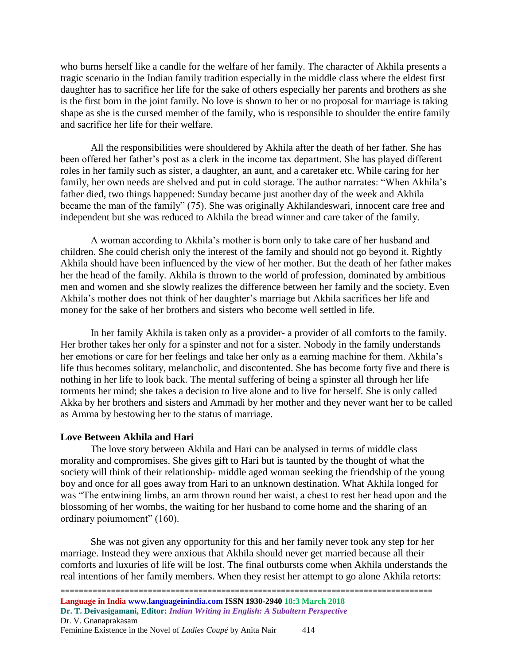who burns herself like a candle for the welfare of her family. The character of Akhila presents a tragic scenario in the Indian family tradition especially in the middle class where the eldest first daughter has to sacrifice her life for the sake of others especially her parents and brothers as she is the first born in the joint family. No love is shown to her or no proposal for marriage is taking shape as she is the cursed member of the family, who is responsible to shoulder the entire family and sacrifice her life for their welfare.

All the responsibilities were shouldered by Akhila after the death of her father. She has been offered her father's post as a clerk in the income tax department. She has played different roles in her family such as sister, a daughter, an aunt, and a caretaker etc. While caring for her family, her own needs are shelved and put in cold storage. The author narrates: "When Akhila's father died, two things happened: Sunday became just another day of the week and Akhila became the man of the family" (75). She was originally Akhilandeswari, innocent care free and independent but she was reduced to Akhila the bread winner and care taker of the family.

A woman according to Akhila's mother is born only to take care of her husband and children. She could cherish only the interest of the family and should not go beyond it. Rightly Akhila should have been influenced by the view of her mother. But the death of her father makes her the head of the family. Akhila is thrown to the world of profession, dominated by ambitious men and women and she slowly realizes the difference between her family and the society. Even Akhila's mother does not think of her daughter's marriage but Akhila sacrifices her life and money for the sake of her brothers and sisters who become well settled in life.

In her family Akhila is taken only as a provider- a provider of all comforts to the family. Her brother takes her only for a spinster and not for a sister. Nobody in the family understands her emotions or care for her feelings and take her only as a earning machine for them. Akhila's life thus becomes solitary, melancholic, and discontented. She has become forty five and there is nothing in her life to look back. The mental suffering of being a spinster all through her life torments her mind; she takes a decision to live alone and to live for herself. She is only called Akka by her brothers and sisters and Ammadi by her mother and they never want her to be called as Amma by bestowing her to the status of marriage.

#### **Love Between Akhila and Hari**

The love story between Akhila and Hari can be analysed in terms of middle class morality and compromises. She gives gift to Hari but is taunted by the thought of what the society will think of their relationship- middle aged woman seeking the friendship of the young boy and once for all goes away from Hari to an unknown destination. What Akhila longed for was "The entwining limbs, an arm thrown round her waist, a chest to rest her head upon and the blossoming of her wombs, the waiting for her husband to come home and the sharing of an ordinary poiumoment" (160).

She was not given any opportunity for this and her family never took any step for her marriage. Instead they were anxious that Akhila should never get married because all their comforts and luxuries of life will be lost. The final outbursts come when Akhila understands the real intentions of her family members. When they resist her attempt to go alone Akhila retorts: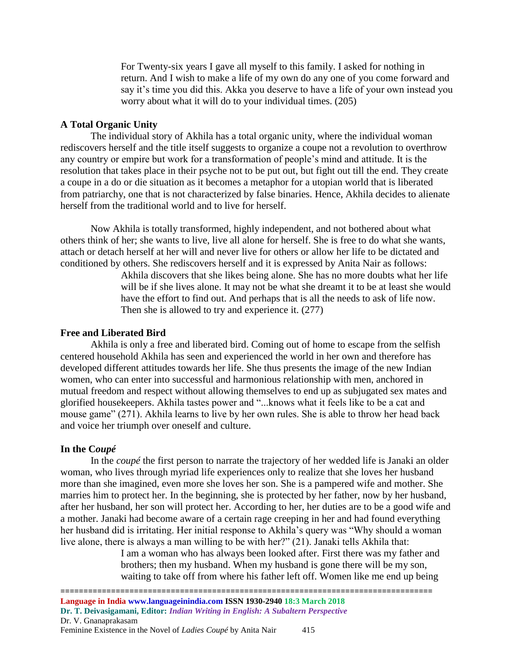For Twenty-six years I gave all myself to this family. I asked for nothing in return. And I wish to make a life of my own do any one of you come forward and say it's time you did this. Akka you deserve to have a life of your own instead you worry about what it will do to your individual times. (205)

## **A Total Organic Unity**

The individual story of Akhila has a total organic unity, where the individual woman rediscovers herself and the title itself suggests to organize a coupe not a revolution to overthrow any country or empire but work for a transformation of people's mind and attitude. It is the resolution that takes place in their psyche not to be put out, but fight out till the end. They create a coupe in a do or die situation as it becomes a metaphor for a utopian world that is liberated from patriarchy, one that is not characterized by false binaries. Hence, Akhila decides to alienate herself from the traditional world and to live for herself.

Now Akhila is totally transformed, highly independent, and not bothered about what others think of her; she wants to live, live all alone for herself. She is free to do what she wants, attach or detach herself at her will and never live for others or allow her life to be dictated and conditioned by others. She rediscovers herself and it is expressed by Anita Nair as follows:

> Akhila discovers that she likes being alone. She has no more doubts what her life will be if she lives alone. It may not be what she dreamt it to be at least she would have the effort to find out. And perhaps that is all the needs to ask of life now. Then she is allowed to try and experience it. (277)

#### **Free and Liberated Bird**

Akhila is only a free and liberated bird. Coming out of home to escape from the selfish centered household Akhila has seen and experienced the world in her own and therefore has developed different attitudes towards her life. She thus presents the image of the new Indian women, who can enter into successful and harmonious relationship with men, anchored in mutual freedom and respect without allowing themselves to end up as subjugated sex mates and glorified housekeepers. Akhila tastes power and "...knows what it feels like to be a cat and mouse game" (271). Akhila learns to live by her own rules. She is able to throw her head back and voice her triumph over oneself and culture.

#### **In the C***oupé*

In the *coupé* the first person to narrate the trajectory of her wedded life is Janaki an older woman, who lives through myriad life experiences only to realize that she loves her husband more than she imagined, even more she loves her son. She is a pampered wife and mother. She marries him to protect her. In the beginning, she is protected by her father, now by her husband, after her husband, her son will protect her. According to her, her duties are to be a good wife and a mother. Janaki had become aware of a certain rage creeping in her and had found everything her husband did is irritating. Her initial response to Akhila's query was "Why should a woman live alone, there is always a man willing to be with her?" (21). Janaki tells Akhila that:

> I am a woman who has always been looked after. First there was my father and brothers; then my husband. When my husband is gone there will be my son, waiting to take off from where his father left off. Women like me end up being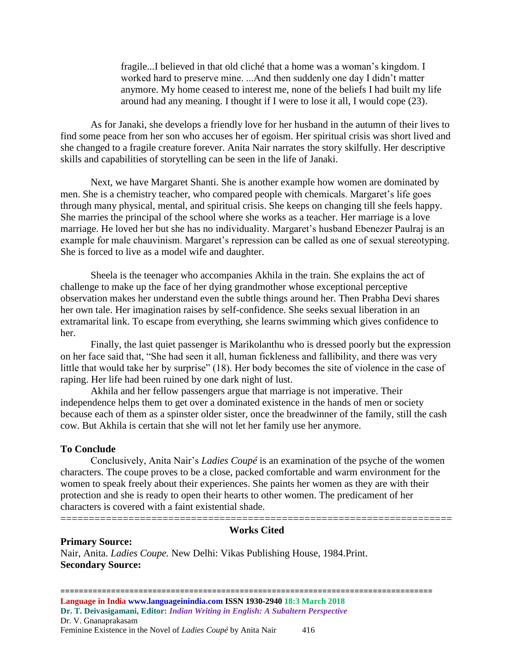fragile...I believed in that old cliché that a home was a woman's kingdom. I worked hard to preserve mine. ...And then suddenly one day I didn't matter anymore. My home ceased to interest me, none of the beliefs I had built my life around had any meaning. I thought if I were to lose it all, I would cope (23).

As for Janaki, she develops a friendly love for her husband in the autumn of their lives to find some peace from her son who accuses her of egoism. Her spiritual crisis was short lived and she changed to a fragile creature forever. Anita Nair narrates the story skilfully. Her descriptive skills and capabilities of storytelling can be seen in the life of Janaki.

Next, we have Margaret Shanti. She is another example how women are dominated by men. She is a chemistry teacher, who compared people with chemicals. Margaret's life goes through many physical, mental, and spiritual crisis. She keeps on changing till she feels happy. She marries the principal of the school where she works as a teacher. Her marriage is a love marriage. He loved her but she has no individuality. Margaret's husband Ebenezer Paulraj is an example for male chauvinism. Margaret's repression can be called as one of sexual stereotyping. She is forced to live as a model wife and daughter.

Sheela is the teenager who accompanies Akhila in the train. She explains the act of challenge to make up the face of her dying grandmother whose exceptional perceptive observation makes her understand even the subtle things around her. Then Prabha Devi shares her own tale. Her imagination raises by self-confidence. She seeks sexual liberation in an extramarital link. To escape from everything, she learns swimming which gives confidence to her.

Finally, the last quiet passenger is Marikolanthu who is dressed poorly but the expression on her face said that, "She had seen it all, human fickleness and fallibility, and there was very little that would take her by surprise" (18). Her body becomes the site of violence in the case of raping. Her life had been ruined by one dark night of lust.

Akhila and her fellow passengers argue that marriage is not imperative. Their independence helps them to get over a dominated existence in the hands of men or society because each of them as a spinster older sister, once the breadwinner of the family, still the cash cow. But Akhila is certain that she will not let her family use her anymore.

## **To Conclude**

**Primary Source:**

Conclusively, Anita Nair's *Ladies Coupé* is an examination of the psyche of the women characters. The coupe proves to be a close, packed comfortable and warm environment for the women to speak freely about their experiences. She paints her women as they are with their protection and she is ready to open their hearts to other women. The predicament of her characters is covered with a faint existential shade.

## ===================================================================== **Works Cited**

Nair, Anita. *Ladies Coupe.* New Delhi: Vikas Publishing House, 1984.Print. **Secondary Source:**

================================================================================= **Language in India www.languageinindia.com ISSN 1930-2940 18:3 March 2018 Dr. T. Deivasigamani, Editor:** *Indian Writing in English: A Subaltern Perspective* Dr. V. Gnanaprakasam Feminine Existence in the Novel of *Ladies Coupé* by Anita Nair 416